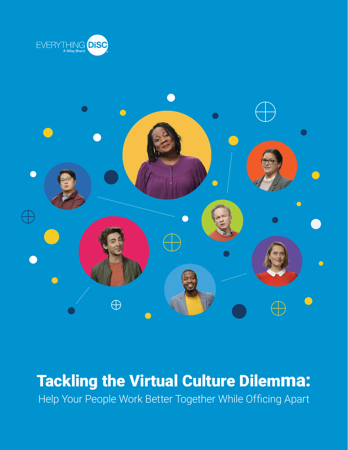



### Tackling the Virtual Culture Dilemma: Help Your People Work Better Together While Officing Apart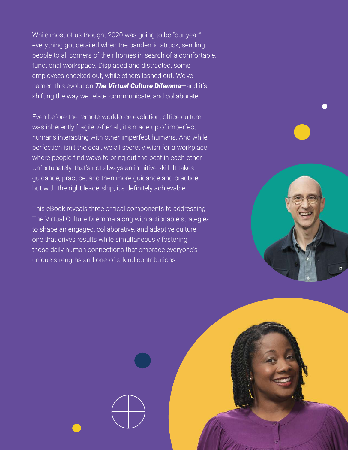While most of us thought 2020 was going to be "our year," everything got derailed when the pandemic struck, sending people to all corners of their homes in search of a comfortable, functional workspace. Displaced and distracted, some employees checked out, while others lashed out. We've named this evolution *The Virtual Culture Dilemma*—and it's shifting the way we relate, communicate, and collaborate.

Even before the remote workforce evolution, office culture was inherently fragile. After all, it's made up of imperfect humans interacting with other imperfect humans. And while perfection isn't the goal, we all secretly wish for a workplace where people find ways to bring out the best in each other. Unfortunately, that's not always an intuitive skill. It takes guidance, practice, and then more guidance and practice... but with the right leadership, it's definitely achievable.

This eBook reveals three critical components to addressing The Virtual Culture Dilemma along with actionable strategies to shape an engaged, collaborative, and adaptive culture one that drives results while simultaneously fostering those daily human connections that embrace everyone's unique strengths and one-of-a-kind contributions.



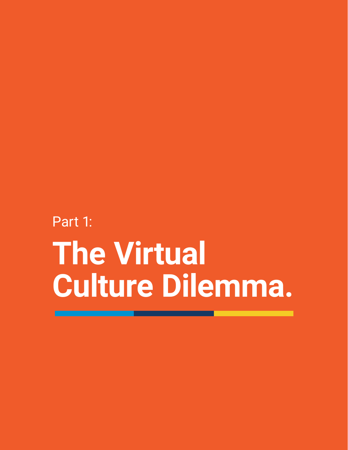# Part 1: **The Virtual Culture Dilemma.**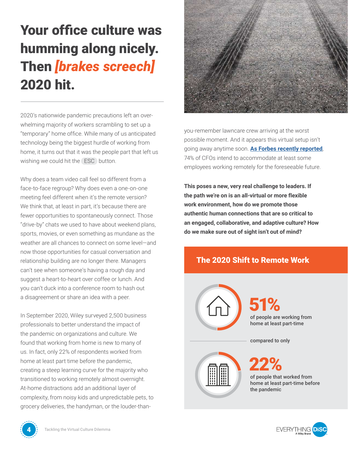# Your office culture was humming along nicely. Then *[brakes screech]* 2020 hit.

2020's nationwide pandemic precautions left an overwhelming majority of workers scrambling to set up a "temporary" home office. While many of us anticipated technology being the biggest hurdle of working from home, it turns out that it was the people part that left us wishing we could hit the ESC button.

Why does a team video call feel so different from a face-to-face regroup? Why does even a one-on-one meeting feel different when it's the remote version? We think that, at least in part, it's because there are fewer opportunities to spontaneously connect. Those "drive-by" chats we used to have about weekend plans, sports, movies, or even something as mundane as the weather are all chances to connect on some level—and now those opportunities for casual conversation and relationship building are no longer there. Managers can't see when someone's having a rough day and suggest a heart-to-heart over coffee or lunch. And you can't duck into a conference room to hash out a disagreement or share an idea with a peer.

In September 2020, Wiley surveyed 2,500 business professionals to better understand the impact of the pandemic on organizations and culture. We found that working from home is new to many of us. In fact, only 22% of respondents worked from home at least part time before the pandemic, creating a steep learning curve for the majority who transitioned to working remotely almost overnight. At-home distractions add an additional layer of complexity, from noisy kids and unpredictable pets, to grocery deliveries, the handyman, or the louder-than-



you-remember lawncare crew arriving at the worst possible moment. And it appears this virtual setup isn't going away anytime soon. **[As Forbes recently reported](https://www.forbes.com/sites/traceywelsonrossman/2020/04/28/the-implications-of-remote-working-as-the-workplace-of-the-future/?sh=5fad2a365ed2)**, 74% of CFOs intend to accommodate at least some employees working remotely for the foreseeable future.

**This poses a new, very real challenge to leaders. If the path we're on is an all-virtual or more flexible work environment, how do we promote those authentic human connections that are so critical to an engaged, collaborative, and adaptive culture? How do we make sure out of sight isn't out of mind?**

#### The 2020 Shift to Remote Work





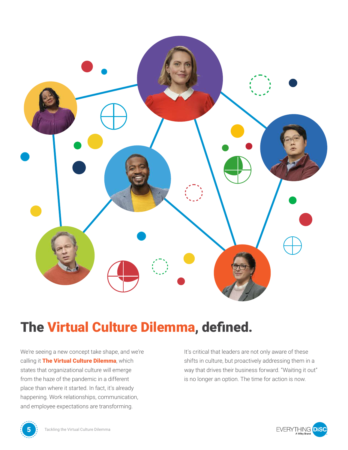

### The Virtual Culture Dilemma, defined.

We're seeing a new concept take shape, and we're calling it The Virtual Culture Dilemma, which states that organizational culture will emerge from the haze of the pandemic in a different place than where it started. In fact, it's already happening. Work relationships, communication, and employee expectations are transforming.

It's critical that leaders are not only aware of these shifts in culture, but proactively addressing them in a way that drives their business forward. "Waiting it out" is no longer an option. The time for action is now.



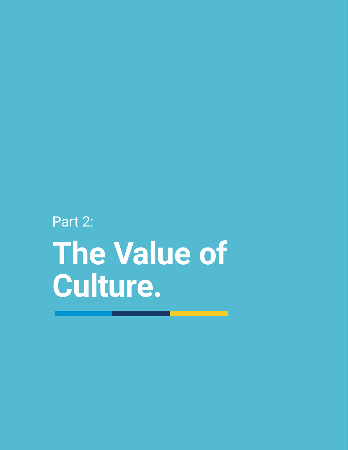# Part 2: **The Value of Culture.**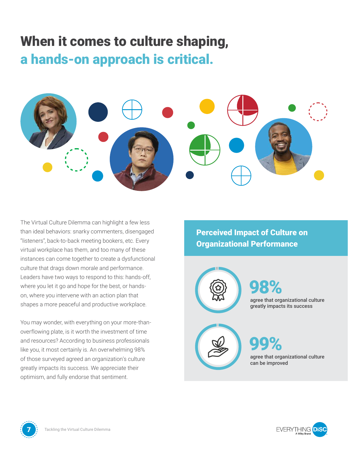### When it comes to culture shaping, a hands-on approach is critical.



The Virtual Culture Dilemma can highlight a few less than ideal behaviors: snarky commenters, disengaged "listeners", back-to-back meeting bookers, etc. Every virtual workplace has them, and too many of these instances can come together to create a dysfunctional culture that drags down morale and performance. Leaders have two ways to respond to this: hands-off, where you let it go and hope for the best, or handson, where you intervene with an action plan that shapes a more peaceful and productive workplace.

You may wonder, with everything on your more-thanoverflowing plate, is it worth the investment of time and resources? According to business professionals like you, it most certainly is. An overwhelming 98% of those surveyed agreed an organization's culture greatly impacts its success. We appreciate their optimism, and fully endorse that sentiment.

Perceived Impact of Culture on Organizational Performance





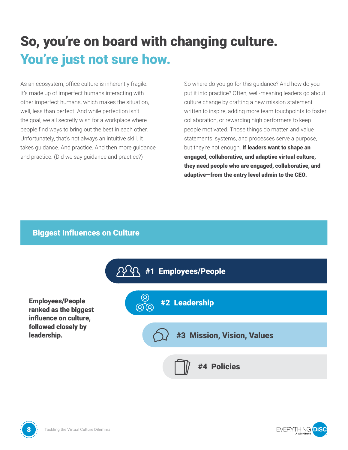# So, you're on board with changing culture. You're just not sure how.

As an ecosystem, office culture is inherently fragile. It's made up of imperfect humans interacting with other imperfect humans, which makes the situation, well, less than perfect. And while perfection isn't the goal, we all secretly wish for a workplace where people find ways to bring out the best in each other. Unfortunately, that's not always an intuitive skill. It takes guidance. And practice. And then more guidance and practice. (Did we say guidance and practice?)

So where do you go for this guidance? And how do you put it into practice? Often, well-meaning leaders go about culture change by crafting a new mission statement written to inspire, adding more team touchpoints to foster collaboration, or rewarding high performers to keep people motivated. Those things do matter, and value statements, systems, and processes serve a purpose, but they're not enough. If leaders want to shape an engaged, collaborative, and adaptive virtual culture, they need people who are engaged, collaborative, and adaptive—from the entry level admin to the CEO.

#### Biggest Influences on Culture

Employees/People ranked as the biggest influence on culture, followed closely by leadership.





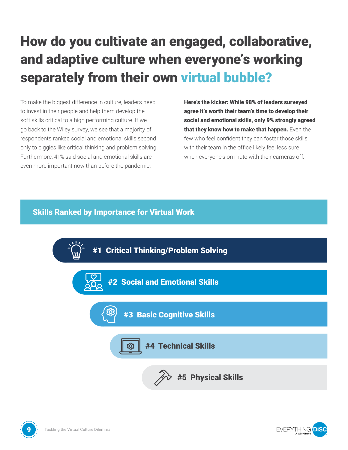# How do you cultivate an engaged, collaborative, and adaptive culture when everyone's working separately from their own virtual bubble?

To make the biggest difference in culture, leaders need to invest in their people and help them develop the soft skills critical to a high performing culture. If we go back to the Wiley survey, we see that a majority of respondents ranked social and emotional skills second only to biggies like critical thinking and problem solving. Furthermore, 41% said social and emotional skills are even more important now than before the pandemic.

Here's the kicker: While 98% of leaders surveyed agree it's worth their team's time to develop their social and emotional skills, only 9% strongly agreed that they know how to make that happen. Even the few who feel confident they can foster those skills with their team in the office likely feel less sure when everyone's on mute with their cameras off.

#### Skills Ranked by Importance for Virtual Work





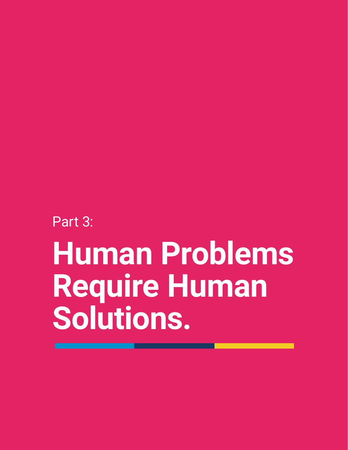Part 3:

# **Human Problems Require Human Solutions.**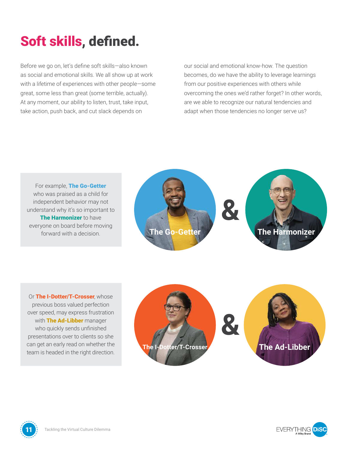## Soft skills, defined.

Before we go on, let's define soft skills—also known as social and emotional skills. We all show up at work with a lifetime of experiences with other people—some great, some less than great (some terrible, actually). At any moment, our ability to listen, trust, take input, take action, push back, and cut slack depends on

our social and emotional know-how. The question becomes, do we have the ability to leverage learnings from our positive experiences with others while overcoming the ones we'd rather forget? In other words, are we able to recognize our natural tendencies and adapt when those tendencies no longer serve us?

For example, The Go-Getter who was praised as a child for independent behavior may not understand why it's so important to The Harmonizer to have everyone on board before moving forward with a decision.



Or The I-Dotter/T-Crosser, whose previous boss valued perfection over speed, may express frustration with The Ad-Libber manager who quickly sends unfinished presentations over to clients so she can get an early read on whether the team is headed in the right direction.







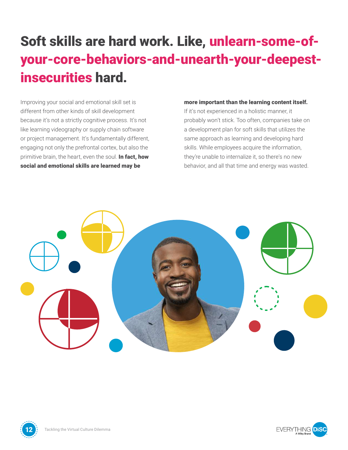### Soft skills are hard work. Like, unlearn-some-ofyour-core-behaviors-and-unearth-your-deepestinsecurities hard.

Improving your social and emotional skill set is different from other kinds of skill development because it's not a strictly cognitive process. It's not like learning videography or supply chain software or project management. It's fundamentally different, engaging not only the prefrontal cortex, but also the primitive brain, the heart, even the soul. In fact, how social and emotional skills are learned may be

#### more important than the learning content itself.

If it's not experienced in a holistic manner, it probably won't stick. Too often, companies take on a development plan for soft skills that utilizes the same approach as learning and developing hard skills. While employees acquire the information, they're unable to internalize it, so there's no new behavior, and all that time and energy was wasted.

**FVFRYTHING DIS** 



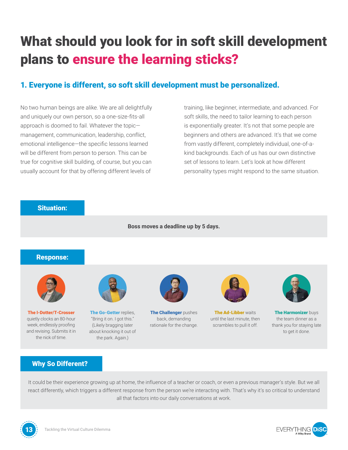# What should you look for in soft skill development plans to ensure the learning sticks?

#### 1. Everyone is different, so soft skill development must be personalized.

No two human beings are alike. We are all delightfully and uniquely our own person, so a one-size-fits-all approach is doomed to fail. Whatever the topic management, communication, leadership, conflict, emotional intelligence—the specific lessons learned will be different from person to person. This can be true for cognitive skill building, of course, but you can usually account for that by offering different levels of

training, like beginner, intermediate, and advanced. For soft skills, the need to tailor learning to each person is exponentially greater. It's not that some people are beginners and others are advanced. It's that we come from vastly different, completely individual, one-of-akind backgrounds. Each of us has our own distinctive set of lessons to learn. Let's look at how different personality types might respond to the same situation.



It could be their experience growing up at home, the influence of a teacher or coach, or even a previous manager's style. But we all react differently, which triggers a different response from the person we're interacting with. That's why it's so critical to understand all that factors into our daily conversations at work.



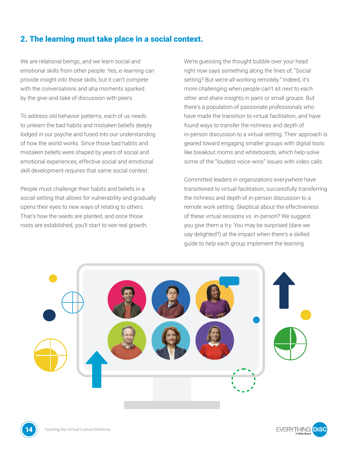#### 2. The learning must take place in a social context.

We are relational beings, and we learn social and emotional skills from other people. Yes, e-learning can provide insight into those skills, but it can't compete with the conversations and aha moments sparked by the give-and-take of discussion with peers.

To address old behavior patterns, each of us needs to unlearn the bad habits and mistaken beliefs deeply lodged in our psyche and fused into our understanding of how the world works. Since those bad habits and mistaken beliefs were shaped by years of social and emotional experiences, effective social and emotional skill development requires that same social context.

People must challenge their habits and beliefs in a social setting that allows for vulnerability and gradually opens their eyes to new ways of relating to others. That's how the seeds are planted, and once those roots are established, you'll start to see real growth.

We're guessing the thought bubble over your head right now says something along the lines of, "Social setting? But we're all working remotely." Indeed, it's more challenging when people can't sit next to each other and share insights in pairs or small groups. But there's a population of passionate professionals who have made the transition to virtual facilitation, and have found ways to transfer the richness and depth of in-person discussion to a virtual setting. Their approach is geared toward engaging smaller groups with digital tools like breakout rooms and whiteboards, which help solve some of the "loudest-voice-wins" issues with video calls.

Committed leaders in organizations everywhere have transitioned to virtual facilitation, successfully transferring the richness and depth of in-person discussion to a remote work setting. Skeptical about the effectiveness of these virtual sessions vs. in-person? We suggest you give them a try. You may be surprised (dare we say delighted?) at the impact when there's a skilled guide to help each group implement the learning.



![](_page_13_Picture_7.jpeg)

![](_page_13_Picture_9.jpeg)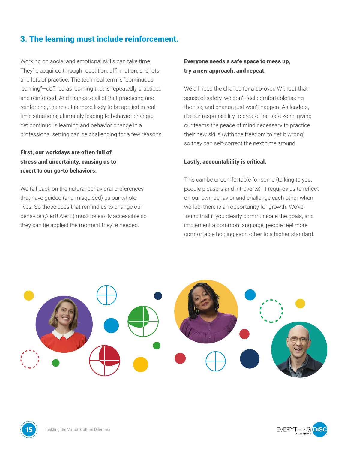#### 3. The learning must include reinforcement.

Working on social and emotional skills can take time. They're acquired through repetition, affirmation, and lots and lots of practice. The technical term is "continuous learning"—defined as learning that is repeatedly practiced and reinforced. And thanks to all of that practicing and reinforcing, the result is more likely to be applied in realtime situations, ultimately leading to behavior change. Yet continuous learning and behavior change in a professional setting can be challenging for a few reasons.

#### First, our workdays are often full of stress and uncertainty, causing us to revert to our go-to behaviors.

We fall back on the natural behavioral preferences that have guided (and misguided) us our whole lives. So those cues that remind us to change our behavior (Alert! Alert!) must be easily accessible so they can be applied the moment they're needed.

#### Everyone needs a safe space to mess up, try a new approach, and repeat.

We all need the chance for a do-over. Without that sense of safety, we don't feel comfortable taking the risk, and change just won't happen. As leaders, it's our responsibility to create that safe zone, giving our teams the peace of mind necessary to practice their new skills (with the freedom to get it wrong) so they can self-correct the next time around.

#### Lastly, accountability is critical.

This can be uncomfortable for some (talking to you, people pleasers and introverts). It requires us to reflect on our own behavior and challenge each other when we feel there is an opportunity for growth. We've found that if you clearly communicate the goals, and implement a common language, people feel more comfortable holding each other to a higher standard.

![](_page_14_Picture_8.jpeg)

![](_page_14_Picture_9.jpeg)

![](_page_14_Picture_11.jpeg)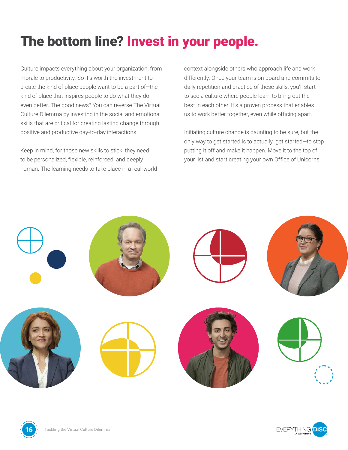### The bottom line? Invest in your people.

Culture impacts everything about your organization, from morale to productivity. So it's worth the investment to create the kind of place people want to be a part of—the kind of place that inspires people to do what they do even better. The good news? You can reverse The Virtual Culture Dilemma by investing in the social and emotional skills that are critical for creating lasting change through positive and productive day-to-day interactions.

Keep in mind, for those new skills to stick, they need to be personalized, flexible, reinforced, and deeply human. The learning needs to take place in a real-world context alongside others who approach life and work differently. Once your team is on board and commits to daily repetition and practice of these skills, you'll start to see a culture where people learn to bring out the best in each other. It's a proven process that enables us to work better together, even while officing apart.

Initiating culture change is daunting to be sure, but the only way to get started is to actually get started—to stop putting it off and make it happen. Move it to the top of your list and start creating your own Office of Unicorns.

**FVFRYTHING DIS** 

![](_page_15_Picture_5.jpeg)

![](_page_15_Picture_6.jpeg)